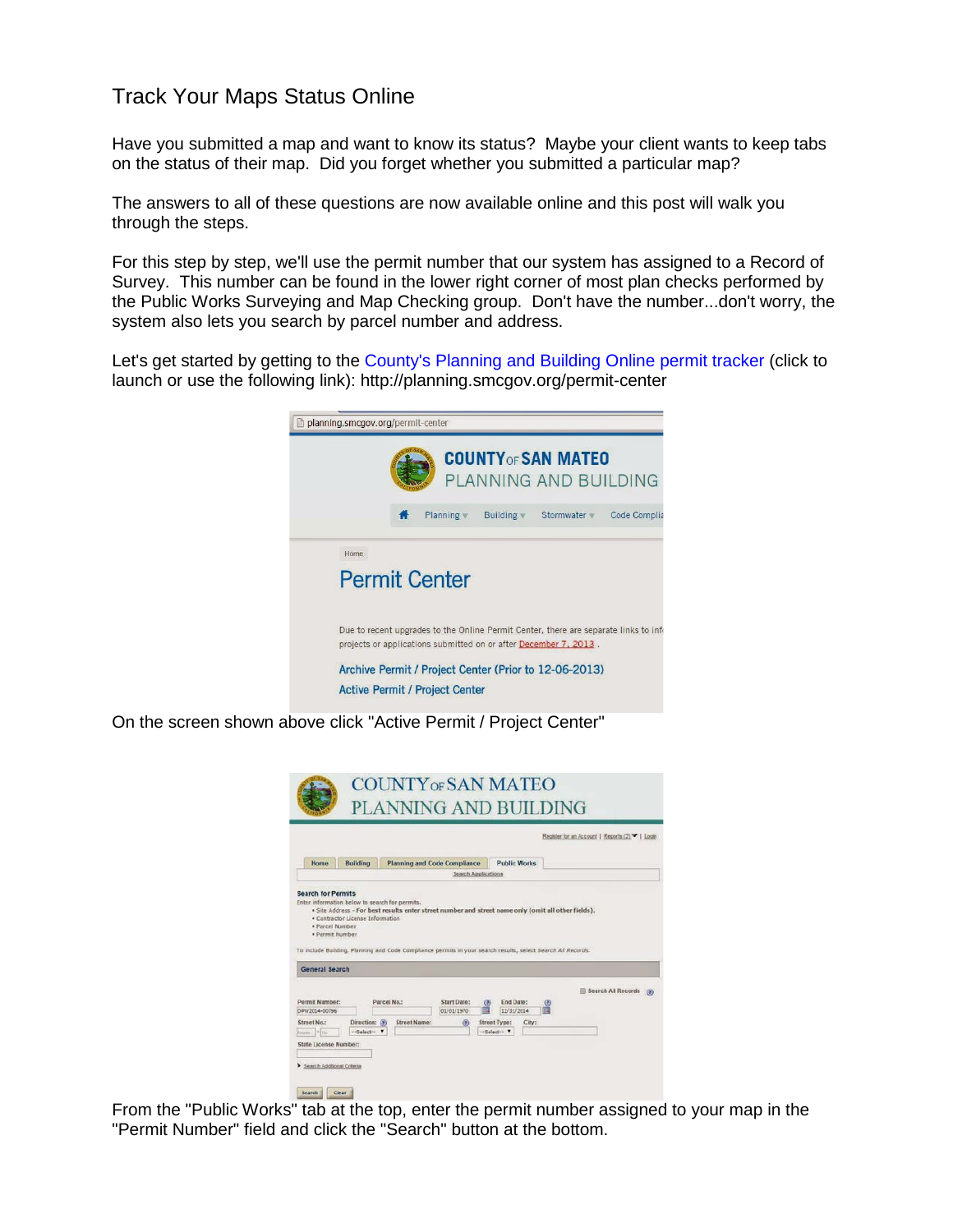## Track Your Maps Status Online

Have you submitted a map and want to know its status? Maybe your client wants to keep tabs on the status of their map. Did you forget whether you submitted a particular map?

The answers to all of these questions are now available online and this post will walk you through the steps.

For this step by step, we'll use the permit number that our system has assigned to a Record of Survey. This number can be found in the lower right corner of most plan checks performed by the Public Works Surveying and Map Checking group. Don't have the number...don't worry, the system also lets you search by parcel number and address.

Let's get started by getting to the [County's Planning and Building Online permit tracker](http://planning.smcgov.org/permit-center) (click to launch or use the following link): http://planning.smcgov.org/permit-center



On the screen shown above click "Active Permit / Project Center"



From the "Public Works" tab at the top, enter the permit number assigned to your map in the "Permit Number" field and click the "Search" button at the bottom.